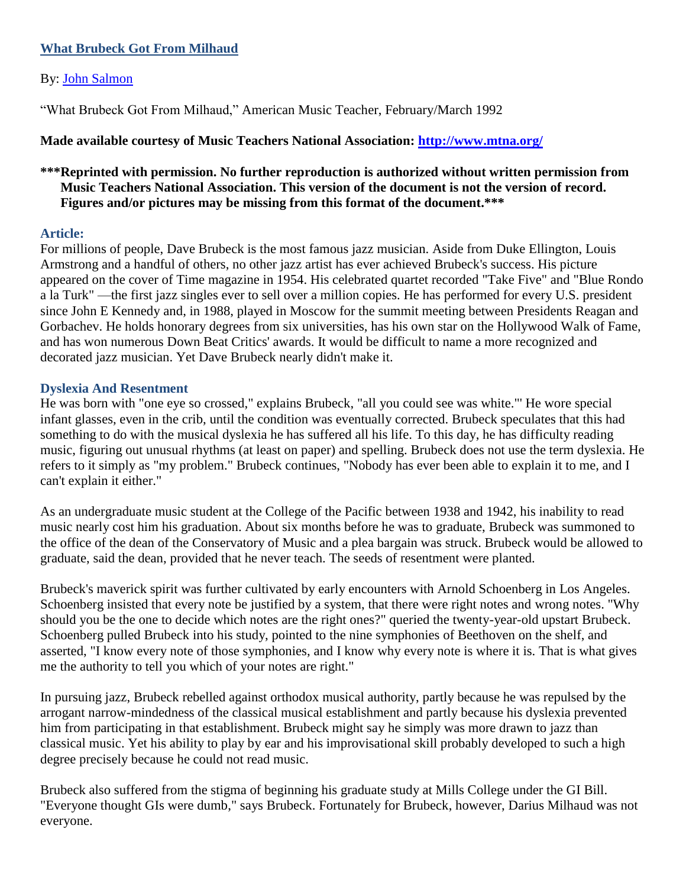## **What Brubeck Got From Milhaud**

## By: [John Salmon](http://libres.uncg.edu/ir/uncg/clist.aspx?id=3833)

["What Brubeck Got From Milhaud,"](http://www.johnsalmon.com/John_Salmon/Articles_files/brubeck-milhaud.pdf) American Music Teacher, February/March 1992

# **Made available courtesy of Music Teachers National Association:<http://www.mtna.org/>**

# **\*\*\*Reprinted with permission. No further reproduction is authorized without written permission from Music Teachers National Association. This version of the document is not the version of record. Figures and/or pictures may be missing from this format of the document.\*\*\***

## **Article:**

For millions of people, Dave Brubeck is the most famous jazz musician. Aside from Duke Ellington, Louis Armstrong and a handful of others, no other jazz artist has ever achieved Brubeck's success. His picture appeared on the cover of Time magazine in 1954. His celebrated quartet recorded "Take Five" and "Blue Rondo a la Turk" —the first jazz singles ever to sell over a million copies. He has performed for every U.S. president since John E Kennedy and, in 1988, played in Moscow for the summit meeting between Presidents Reagan and Gorbachev. He holds honorary degrees from six universities, has his own star on the Hollywood Walk of Fame, and has won numerous Down Beat Critics' awards. It would be difficult to name a more recognized and decorated jazz musician. Yet Dave Brubeck nearly didn't make it.

## **Dyslexia And Resentment**

He was born with "one eye so crossed," explains Brubeck, "all you could see was white."' He wore special infant glasses, even in the crib, until the condition was eventually corrected. Brubeck speculates that this had something to do with the musical dyslexia he has suffered all his life. To this day, he has difficulty reading music, figuring out unusual rhythms (at least on paper) and spelling. Brubeck does not use the term dyslexia. He refers to it simply as "my problem." Brubeck continues, "Nobody has ever been able to explain it to me, and I can't explain it either."

As an undergraduate music student at the College of the Pacific between 1938 and 1942, his inability to read music nearly cost him his graduation. About six months before he was to graduate, Brubeck was summoned to the office of the dean of the Conservatory of Music and a plea bargain was struck. Brubeck would be allowed to graduate, said the dean, provided that he never teach. The seeds of resentment were planted.

Brubeck's maverick spirit was further cultivated by early encounters with Arnold Schoenberg in Los Angeles. Schoenberg insisted that every note be justified by a system, that there were right notes and wrong notes. "Why should you be the one to decide which notes are the right ones?" queried the twenty-year-old upstart Brubeck. Schoenberg pulled Brubeck into his study, pointed to the nine symphonies of Beethoven on the shelf, and asserted, "I know every note of those symphonies, and I know why every note is where it is. That is what gives me the authority to tell you which of your notes are right."

In pursuing jazz, Brubeck rebelled against orthodox musical authority, partly because he was repulsed by the arrogant narrow-mindedness of the classical musical establishment and partly because his dyslexia prevented him from participating in that establishment. Brubeck might say he simply was more drawn to jazz than classical music. Yet his ability to play by ear and his improvisational skill probably developed to such a high degree precisely because he could not read music.

Brubeck also suffered from the stigma of beginning his graduate study at Mills College under the GI Bill. "Everyone thought GIs were dumb," says Brubeck. Fortunately for Brubeck, however, Darius Milhaud was not everyone.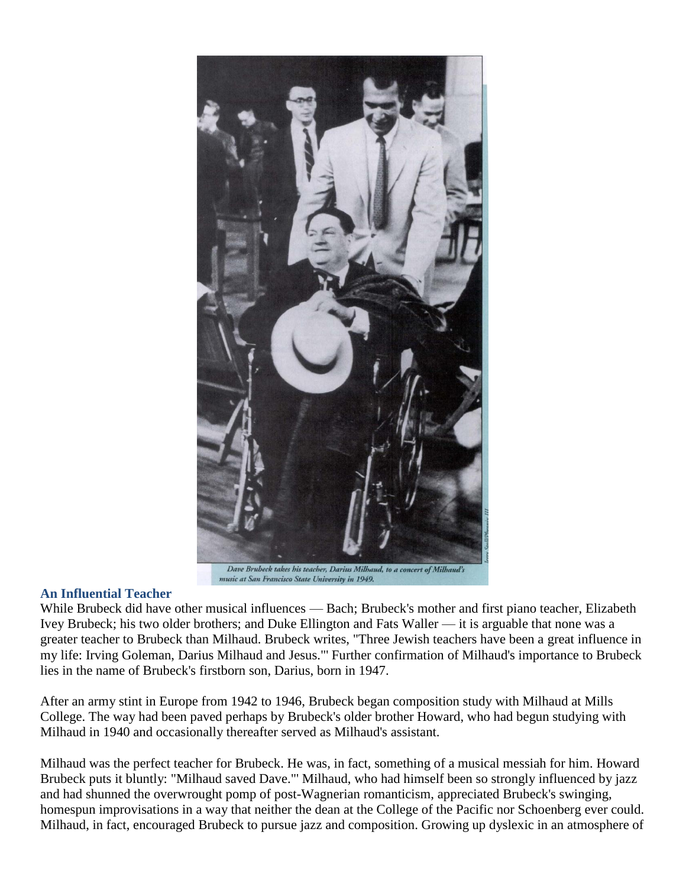

#### **An Influential Teacher**

While Brubeck did have other musical influences — Bach; Brubeck's mother and first piano teacher, Elizabeth Ivey Brubeck; his two older brothers; and Duke Ellington and Fats Waller — it is arguable that none was a greater teacher to Brubeck than Milhaud. Brubeck writes, "Three Jewish teachers have been a great influence in my life: Irving Goleman, Darius Milhaud and Jesus."' Further confirmation of Milhaud's importance to Brubeck lies in the name of Brubeck's firstborn son, Darius, born in 1947.

After an army stint in Europe from 1942 to 1946, Brubeck began composition study with Milhaud at Mills College. The way had been paved perhaps by Brubeck's older brother Howard, who had begun studying with Milhaud in 1940 and occasionally thereafter served as Milhaud's assistant.

Milhaud was the perfect teacher for Brubeck. He was, in fact, something of a musical messiah for him. Howard Brubeck puts it bluntly: "Milhaud saved Dave."' Milhaud, who had himself been so strongly influenced by jazz and had shunned the overwrought pomp of post-Wagnerian romanticism, appreciated Brubeck's swinging, homespun improvisations in a way that neither the dean at the College of the Pacific nor Schoenberg ever could. Milhaud, in fact, encouraged Brubeck to pursue jazz and composition. Growing up dyslexic in an atmosphere of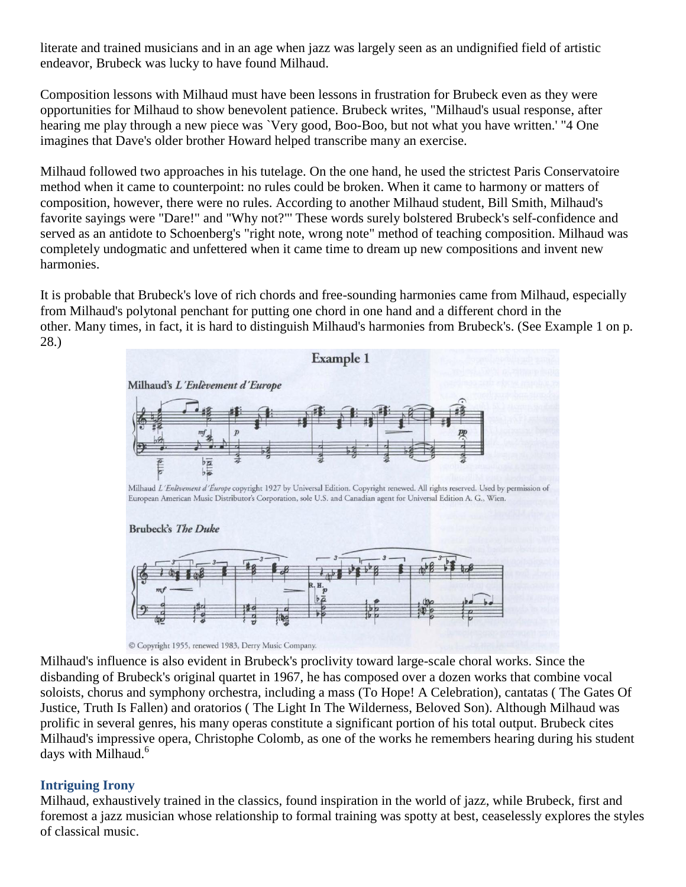literate and trained musicians and in an age when jazz was largely seen as an undignified field of artistic endeavor, Brubeck was lucky to have found Milhaud.

Composition lessons with Milhaud must have been lessons in frustration for Brubeck even as they were opportunities for Milhaud to show benevolent patience. Brubeck writes, "Milhaud's usual response, after hearing me play through a new piece was `Very good, Boo-Boo, but not what you have written.' "4 One imagines that Dave's older brother Howard helped transcribe many an exercise.

Milhaud followed two approaches in his tutelage. On the one hand, he used the strictest Paris Conservatoire method when it came to counterpoint: no rules could be broken. When it came to harmony or matters of composition, however, there were no rules. According to another Milhaud student, Bill Smith, Milhaud's favorite sayings were "Dare!" and "Why not?"' These words surely bolstered Brubeck's self-confidence and served as an antidote to Schoenberg's "right note, wrong note" method of teaching composition. Milhaud was completely undogmatic and unfettered when it came time to dream up new compositions and invent new harmonies.

It is probable that Brubeck's love of rich chords and free-sounding harmonies came from Milhaud, especially from Milhaud's polytonal penchant for putting one chord in one hand and a different chord in the other. Many times, in fact, it is hard to distinguish Milhaud's harmonies from Brubeck's. (See Example 1 on p. 28.)



© Copyright 1955, renewed 1983, Derry Music Company.

Milhaud's influence is also evident in Brubeck's proclivity toward large-scale choral works. Since the disbanding of Brubeck's original quartet in 1967, he has composed over a dozen works that combine vocal soloists, chorus and symphony orchestra, including a mass (To Hope! A Celebration), cantatas ( The Gates Of Justice, Truth Is Fallen) and oratorios ( The Light In The Wilderness, Beloved Son). Although Milhaud was prolific in several genres, his many operas constitute a significant portion of his total output. Brubeck cites Milhaud's impressive opera, Christophe Colomb, as one of the works he remembers hearing during his student days with Milhaud.<sup>6</sup>

## **Intriguing Irony**

Milhaud, exhaustively trained in the classics, found inspiration in the world of jazz, while Brubeck, first and foremost a jazz musician whose relationship to formal training was spotty at best, ceaselessly explores the styles of classical music.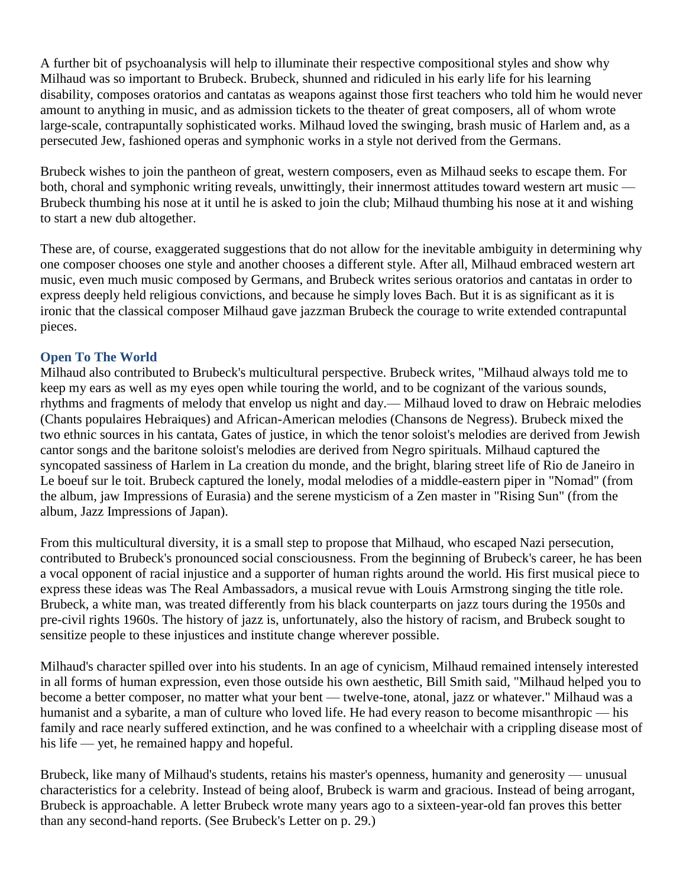A further bit of psychoanalysis will help to illuminate their respective compositional styles and show why Milhaud was so important to Brubeck. Brubeck, shunned and ridiculed in his early life for his learning disability, composes oratorios and cantatas as weapons against those first teachers who told him he would never amount to anything in music, and as admission tickets to the theater of great composers, all of whom wrote large-scale, contrapuntally sophisticated works. Milhaud loved the swinging, brash music of Harlem and, as a persecuted Jew, fashioned operas and symphonic works in a style not derived from the Germans.

Brubeck wishes to join the pantheon of great, western composers, even as Milhaud seeks to escape them. For both, choral and symphonic writing reveals, unwittingly, their innermost attitudes toward western art music — Brubeck thumbing his nose at it until he is asked to join the club; Milhaud thumbing his nose at it and wishing to start a new dub altogether.

These are, of course, exaggerated suggestions that do not allow for the inevitable ambiguity in determining why one composer chooses one style and another chooses a different style. After all, Milhaud embraced western art music, even much music composed by Germans, and Brubeck writes serious oratorios and cantatas in order to express deeply held religious convictions, and because he simply loves Bach. But it is as significant as it is ironic that the classical composer Milhaud gave jazzman Brubeck the courage to write extended contrapuntal pieces.

## **Open To The World**

Milhaud also contributed to Brubeck's multicultural perspective. Brubeck writes, "Milhaud always told me to keep my ears as well as my eyes open while touring the world, and to be cognizant of the various sounds, rhythms and fragments of melody that envelop us night and day.— Milhaud loved to draw on Hebraic melodies (Chants populaires Hebraiques) and African-American melodies (Chansons de Negress). Brubeck mixed the two ethnic sources in his cantata, Gates of justice, in which the tenor soloist's melodies are derived from Jewish cantor songs and the baritone soloist's melodies are derived from Negro spirituals. Milhaud captured the syncopated sassiness of Harlem in La creation du monde, and the bright, blaring street life of Rio de Janeiro in Le boeuf sur le toit. Brubeck captured the lonely, modal melodies of a middle-eastern piper in "Nomad" (from the album, jaw Impressions of Eurasia) and the serene mysticism of a Zen master in "Rising Sun" (from the album, Jazz Impressions of Japan).

From this multicultural diversity, it is a small step to propose that Milhaud, who escaped Nazi persecution, contributed to Brubeck's pronounced social consciousness. From the beginning of Brubeck's career, he has been a vocal opponent of racial injustice and a supporter of human rights around the world. His first musical piece to express these ideas was The Real Ambassadors, a musical revue with Louis Armstrong singing the title role. Brubeck, a white man, was treated differently from his black counterparts on jazz tours during the 1950s and pre-civil rights 1960s. The history of jazz is, unfortunately, also the history of racism, and Brubeck sought to sensitize people to these injustices and institute change wherever possible.

Milhaud's character spilled over into his students. In an age of cynicism, Milhaud remained intensely interested in all forms of human expression, even those outside his own aesthetic, Bill Smith said, "Milhaud helped you to become a better composer, no matter what your bent — twelve-tone, atonal, jazz or whatever." Milhaud was a humanist and a sybarite, a man of culture who loved life. He had every reason to become misanthropic — his family and race nearly suffered extinction, and he was confined to a wheelchair with a crippling disease most of his life — yet, he remained happy and hopeful.

Brubeck, like many of Milhaud's students, retains his master's openness, humanity and generosity — unusual characteristics for a celebrity. Instead of being aloof, Brubeck is warm and gracious. Instead of being arrogant, Brubeck is approachable. A letter Brubeck wrote many years ago to a sixteen-year-old fan proves this better than any second-hand reports. (See Brubeck's Letter on p. 29.)